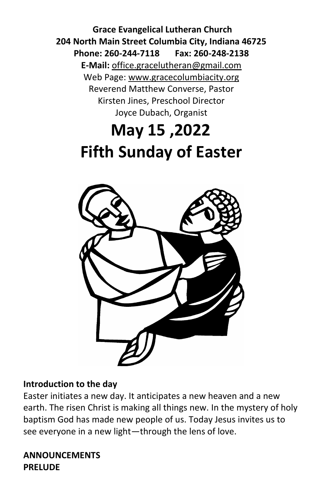**Grace Evangelical Lutheran Church 204 North Main Street Columbia City, Indiana 46725 Phone: 260-244-7118 Fax: 260-248-2138 E-Mail:** office.gracelutheran@gmail.com Web Page: [www.gracecolumbiacity.org](http://www.gracecolumbiacity.org/) Reverend Matthew Converse, Pastor Kirsten Jines, Preschool Director Joyce Dubach, Organist

# **May 15 ,2022 Fifth Sunday of Easter**



#### **Introduction to the day**

Easter initiates a new day. It anticipates a new heaven and a new earth. The risen Christ is making all things new. In the mystery of holy baptism God has made new people of us. Today Jesus invites us to see everyone in a new light—through the lens of love.

**ANNOUNCEMENTS PRELUDE**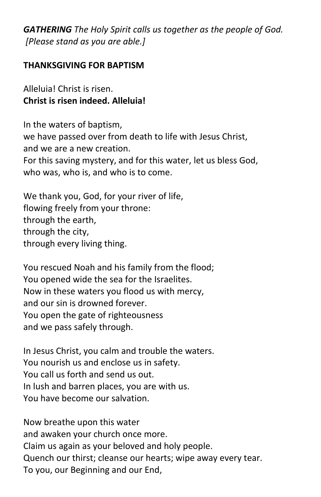*GATHERING The Holy Spirit calls us together as the people of God. [Please stand as you are able.]*

#### **THANKSGIVING FOR BAPTISM**

Alleluia! Christ is risen. **Christ is risen indeed. Alleluia!**

In the waters of baptism, we have passed over from death to life with Jesus Christ, and we are a new creation. For this saving mystery, and for this water, let us bless God, who was, who is, and who is to come.

We thank you, God, for your river of life, flowing freely from your throne: through the earth, through the city, through every living thing.

You rescued Noah and his family from the flood; You opened wide the sea for the Israelites. Now in these waters you flood us with mercy, and our sin is drowned forever. You open the gate of righteousness and we pass safely through.

In Jesus Christ, you calm and trouble the waters. You nourish us and enclose us in safety. You call us forth and send us out. In lush and barren places, you are with us. You have become our salvation.

Now breathe upon this water and awaken your church once more. Claim us again as your beloved and holy people. Quench our thirst; cleanse our hearts; wipe away every tear. To you, our Beginning and our End,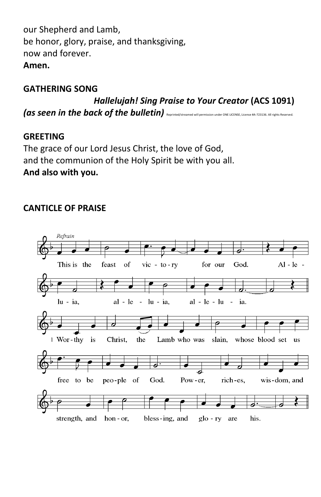our Shepherd and Lamb, be honor, glory, praise, and thanksgiving, now and forever. **Amen.**

#### **GATHERING SONG**

*Hallelujah! Sing Praise to Your Creator* **(ACS 1091)**  *(as seen in the back of the bulletin)* Reprinted/streamed will permission under ONE LICENSE, License #A-723136. All rights Reserved.

#### **GREETING**

The grace of our Lord Jesus Christ, the love of God, and the communion of the Holy Spirit be with you all. **And also with you.**

#### **CANTICLE OF PRAISE**

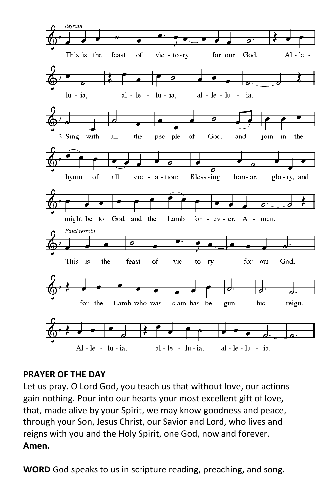

#### **PRAYER OF THE DAY**

Let us pray. O Lord God, you teach us that without love, our actions gain nothing. Pour into our hearts your most excellent gift of love, that, made alive by your Spirit, we may know goodness and peace, through your Son, Jesus Christ, our Savior and Lord, who lives and reigns with you and the Holy Spirit, one God, now and forever. **Amen.**

**WORD** God speaks to us in scripture reading, preaching, and song.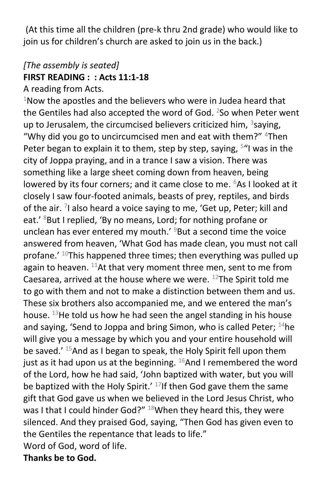(At this time all the children (pre-k thru 2nd grade) who would like to join us for children's church are asked to join us in the back.)

# *[The assembly is seated]* **FIRST READING : : Acts 11:1-18**

A reading from Acts.

 $1$ Now the apostles and the believers who were in Judea heard that the Gentiles had also accepted the word of God.  $2$ So when Peter went up to Jerusalem, the circumcised believers criticized him,  $3$ saying, "Why did you go to uncircumcised men and eat with them?"  $4$ Then Peter began to explain it to them, step by step, saying, <sup>5</sup>"I was in the city of Joppa praying, and in a trance I saw a vision. There was something like a large sheet coming down from heaven, being lowered by its four corners; and it came close to me. <sup>6</sup>As I looked at it closely I saw four-footed animals, beasts of prey, reptiles, and birds of the air. <sup>7</sup>I also heard a voice saying to me, 'Get up, Peter; kill and eat.' <sup>8</sup>But I replied, 'By no means, Lord; for nothing profane or unclean has ever entered my mouth.'  $9$ But a second time the voice answered from heaven, 'What God has made clean, you must not call profane.' <sup>10</sup>This happened three times; then everything was pulled up again to heaven.  $^{11}$ At that very moment three men, sent to me from Caesarea, arrived at the house where we were.  $^{12}$ The Spirit told me to go with them and not to make a distinction between them and us. These six brothers also accompanied me, and we entered the man's house.  $13$ He told us how he had seen the angel standing in his house and saying, 'Send to Joppa and bring Simon, who is called Peter;  $14$ he will give you a message by which you and your entire household will be saved.<sup>' 15</sup>And as I began to speak, the Holy Spirit fell upon them just as it had upon us at the beginning.  $^{16}$ And I remembered the word of the Lord, how he had said, 'John baptized with water, but you will be baptized with the Holy Spirit.'  $17$ If then God gave them the same gift that God gave us when we believed in the Lord Jesus Christ, who was I that I could hinder God?"  $18$ When they heard this, they were silenced. And they praised God, saying, "Then God has given even to the Gentiles the repentance that leads to life." Word of God, word of life.

**Thanks be to God.**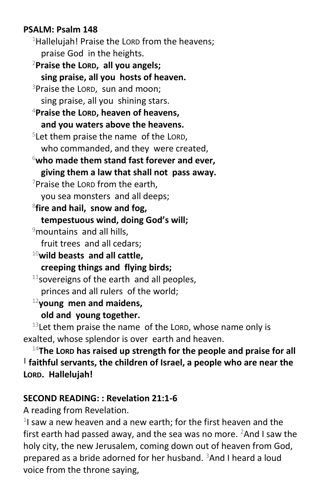#### **PSALM: Psalm 148**

 $1$ Hallelujah! Praise the LORD from the heavens: praise God in the heights. <sup>2</sup>**Praise the LORD, all you angels;**

**sing praise, all you hosts of heaven.** <sup>3</sup>Praise the LORD, sun and moon; sing praise, all you shining stars. <sup>4</sup>**Praise the LORD, heaven of heavens, and you waters above the heavens.** 5 Let them praise the name of the LORD, who commanded, and they were created, <sup>6</sup>**who made them stand fast forever and ever, giving them a law that shall not pass away.** <sup>7</sup>Praise the LORD from the earth, you sea monsters and all deeps; 8 **fire and hail, snow and fog, tempestuous wind, doing God's will;**  $9$ mountains and all hills, fruit trees and all cedars; <sup>10</sup>**wild beasts and all cattle, creeping things and flying birds;**  $11$ sovereigns of the earth and all peoples,

princes and all rulers of the world;

<sup>12</sup>**young men and maidens, old and young together.**

 $13$  Let them praise the name of the LORD, whose name only is exalted, whose splendor is over earth and heaven.

<sup>14</sup>**The LORD has raised up strength for the people and praise for all | faithful servants, the children of Israel, a people who are near the LORD. Hallelujah!**

#### **SECOND READING: : Revelation 21:1-6**

A reading from Revelation.

<sup>1</sup>I saw a new heaven and a new earth; for the first heaven and the first earth had passed away, and the sea was no more.  $2$ And I saw the holy city, the new Jerusalem, coming down out of heaven from God, prepared as a bride adorned for her husband. <sup>3</sup>And I heard a loud voice from the throne saying,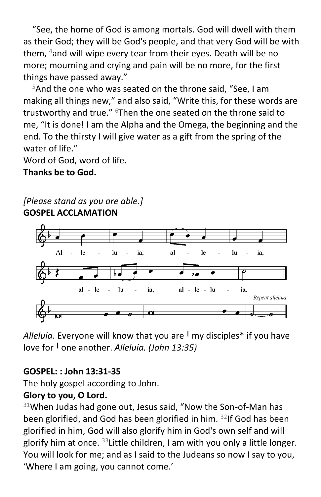"See, the home of God is among mortals. God will dwell with them as their God; they will be God's people, and that very God will be with them, <sup>4</sup>and will wipe every tear from their eyes. Death will be no more; mourning and crying and pain will be no more, for the first things have passed away."

<sup>5</sup>And the one who was seated on the throne said, "See, I am making all things new," and also said, "Write this, for these words are trustworthy and true." <sup>6</sup>Then the one seated on the throne said to me, "It is done! I am the Alpha and the Omega, the beginning and the end. To the thirsty I will give water as a gift from the spring of the water of life."

Word of God, word of life.

**Thanks be to God.**

*[Please stand as you are able.]* **GOSPEL ACCLAMATION**



*Alleluia.* Everyone will know that you are **<sup>|</sup>** my disciples\* if you have love for **<sup>|</sup>** one another. *Alleluia. (John 13:35)*

## **GOSPEL: : John 13:31-35**

The holy gospel according to John.

## **Glory to you, O Lord.**

 $31$ When Judas had gone out, Jesus said, "Now the Son-of-Man has been glorified, and God has been glorified in him.  $32$ If God has been glorified in him, God will also glorify him in God's own self and will glorify him at once.  $33$ Little children, I am with you only a little longer. You will look for me; and as I said to the Judeans so now I say to you, 'Where I am going, you cannot come.'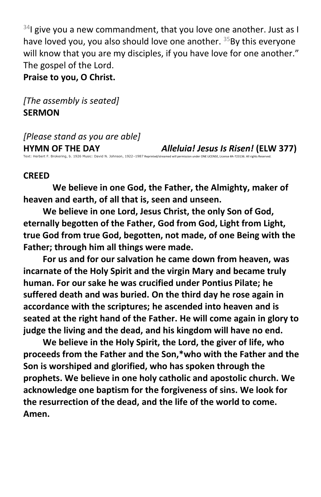$34$ I give you a new commandment, that you love one another. Just as I have loved you, you also should love one another. <sup>35</sup>By this everyone will know that you are my disciples, if you have love for one another." The gospel of the Lord.

**Praise to you, O Christ.**

*[The assembly is seated]* **SERMON**

*[Please stand as you are able]* **HYMN OF THE DAY** *Alleluia! Jesus Is Risen!* **(ELW 377)** Text: Herbert F. Brokering, b. 1926 Music: David N. Johnson, 1922–1987 Reprinted/streamed will permission under ONE LICENSE, License #A-723136. All rights Reserved.

#### **CREED**

**We believe in one God, the Father, the Almighty, maker of heaven and earth, of all that is, seen and unseen.**

**We believe in one Lord, Jesus Christ, the only Son of God, eternally begotten of the Father, God from God, Light from Light, true God from true God, begotten, not made, of one Being with the Father; through him all things were made.**

**For us and for our salvation he came down from heaven, was incarnate of the Holy Spirit and the virgin Mary and became truly human. For our sake he was crucified under Pontius Pilate; he suffered death and was buried. On the third day he rose again in accordance with the scriptures; he ascended into heaven and is seated at the right hand of the Father. He will come again in glory to judge the living and the dead, and his kingdom will have no end.**

**We believe in the Holy Spirit, the Lord, the giver of life, who proceeds from the Father and the Son,\*who with the Father and the Son is worshiped and glorified, who has spoken through the prophets. We believe in one holy catholic and apostolic church. We acknowledge one baptism for the forgiveness of sins. We look for the resurrection of the dead, and the life of the world to come. Amen.**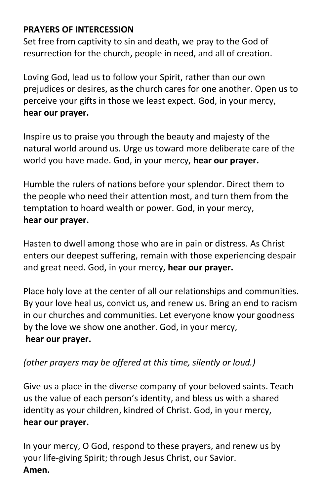# **PRAYERS OF INTERCESSION**

Set free from captivity to sin and death, we pray to the God of resurrection for the church, people in need, and all of creation.

Loving God, lead us to follow your Spirit, rather than our own prejudices or desires, as the church cares for one another. Open us to perceive your gifts in those we least expect. God, in your mercy, **hear our prayer.**

Inspire us to praise you through the beauty and majesty of the natural world around us. Urge us toward more deliberate care of the world you have made. God, in your mercy, **hear our prayer.**

Humble the rulers of nations before your splendor. Direct them to the people who need their attention most, and turn them from the temptation to hoard wealth or power. God, in your mercy, **hear our prayer.**

Hasten to dwell among those who are in pain or distress. As Christ enters our deepest suffering, remain with those experiencing despair and great need. God, in your mercy, **hear our prayer.**

Place holy love at the center of all our relationships and communities. By your love heal us, convict us, and renew us. Bring an end to racism in our churches and communities. Let everyone know your goodness by the love we show one another. God, in your mercy, **hear our prayer.**

## *(other prayers may be offered at this time, silently or loud.)*

Give us a place in the diverse company of your beloved saints. Teach us the value of each person's identity, and bless us with a shared identity as your children, kindred of Christ. God, in your mercy, **hear our prayer.**

In your mercy, O God, respond to these prayers, and renew us by your life-giving Spirit; through Jesus Christ, our Savior. **Amen.**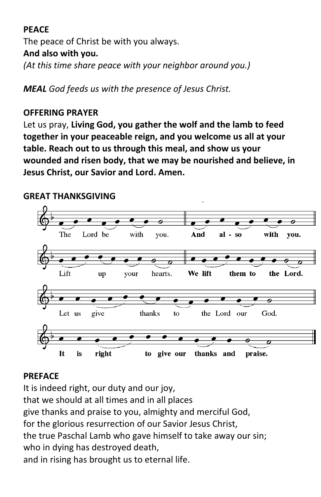# **PEACE**

The peace of Christ be with you always. **And also with you.** *(At this time share peace with your neighbor around you.)*

*MEAL God feeds us with the presence of Jesus Christ.*

#### **OFFERING PRAYER**

Let us pray, **Living God, you gather the wolf and the lamb to feed together in your peaceable reign, and you welcome us all at your table. Reach out to us through this meal, and show us your wounded and risen body, that we may be nourished and believe, in Jesus Christ, our Savior and Lord. Amen.**

#### **GREAT THANKSGIVING**



#### **PREFACE**

It is indeed right, our duty and our joy, that we should at all times and in all places give thanks and praise to you, almighty and merciful God, for the glorious resurrection of our Savior Jesus Christ, the true Paschal Lamb who gave himself to take away our sin; who in dying has destroyed death, and in rising has brought us to eternal life.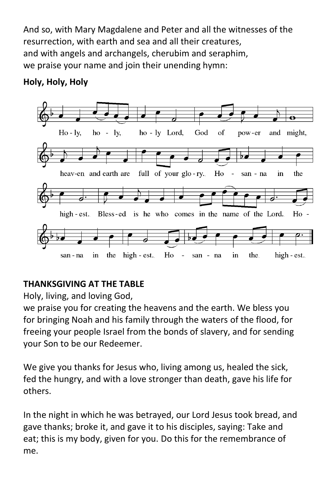And so, with Mary Magdalene and Peter and all the witnesses of the resurrection, with earth and sea and all their creatures, and with angels and archangels, cherubim and seraphim, we praise your name and join their unending hymn:

# **Holy, Holy, Holy**



# **THANKSGIVING AT THE TABLE**

Holy, living, and loving God,

we praise you for creating the heavens and the earth. We bless you for bringing Noah and his family through the waters of the flood, for freeing your people Israel from the bonds of slavery, and for sending your Son to be our Redeemer.

We give you thanks for Jesus who, living among us, healed the sick, fed the hungry, and with a love stronger than death, gave his life for others.

In the night in which he was betrayed, our Lord Jesus took bread, and gave thanks; broke it, and gave it to his disciples, saying: Take and eat; this is my body, given for you. Do this for the remembrance of me.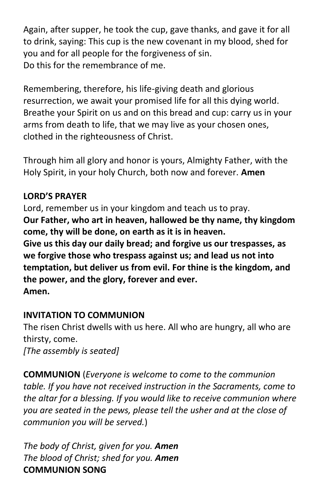Again, after supper, he took the cup, gave thanks, and gave it for all to drink, saying: This cup is the new covenant in my blood, shed for you and for all people for the forgiveness of sin. Do this for the remembrance of me.

Remembering, therefore, his life-giving death and glorious resurrection, we await your promised life for all this dying world. Breathe your Spirit on us and on this bread and cup: carry us in your arms from death to life, that we may live as your chosen ones, clothed in the righteousness of Christ.

Through him all glory and honor is yours, Almighty Father, with the Holy Spirit, in your holy Church, both now and forever. **Amen**

# **LORD'S PRAYER**

Lord, remember us in your kingdom and teach us to pray. **Our Father, who art in heaven, hallowed be thy name, thy kingdom come, thy will be done, on earth as it is in heaven. Give us this day our daily bread; and forgive us our trespasses, as we forgive those who trespass against us; and lead us not into temptation, but deliver us from evil. For thine is the kingdom, and the power, and the glory, forever and ever. Amen.**

# **INVITATION TO COMMUNION**

The risen Christ dwells with us here. All who are hungry, all who are thirsty, come. *[The assembly is seated]* 

**COMMUNION** (*Everyone is welcome to come to the communion table. If you have not received instruction in the Sacraments, come to the altar for a blessing. If you would like to receive communion where you are seated in the pews, please tell the usher and at the close of communion you will be served.*)

*The body of Christ, given for you. Amen The blood of Christ; shed for you. Amen* **COMMUNION SONG**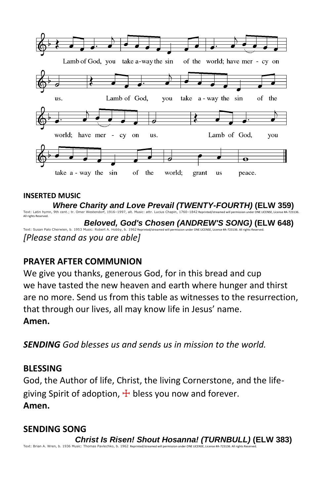

#### **INSERTED MUSIC**

*Where Charity and Love Prevail (TWENTY-FOURTH)* **(ELW 359)** Text: Latin hymn, 9th cent.; tr. Omer Westendorf, 1916–1997, alt. Music: attr. Lucius Chapin, 1760–1842 Repri All rights Reserved.  *Beloved, God's Chosen (ANDREW'S SONG)* **(ELW 648)** Text: Susan Palo Cherwien, b. 1953 Music: Robert A. Hobby, b. 1962 Reprinted/streamed will permission under ONE LICENSE, License #A-723136. All rights Reserved. *[Please stand as you are able]*

#### **PRAYER AFTER COMMUNION**

We give you thanks, generous God, for in this bread and cup we have tasted the new heaven and earth where hunger and thirst are no more. Send us from this table as witnesses to the resurrection, that through our lives, all may know life in Jesus' name. **Amen.**

*SENDING God blesses us and sends us in mission to the world.*

#### **BLESSING**

God, the Author of life, Christ, the living Cornerstone, and the lifegiving Spirit of adoption,  $\pm$  bless you now and forever. **Amen.**

#### **SENDING SONG**

 *Christ Is Risen! Shout Hosanna! (TURNBULL)* **(ELW 383)**  Text: Brian A. Wren, b. 1936 Music: Thomas Pavlechko, b. 1962 Reprinted/streamed will permission under ONE LICENSE, License #A-723136. All rights R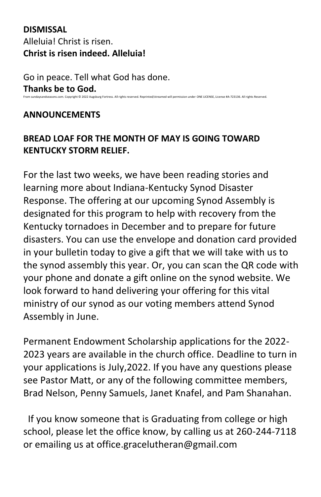# **DISMISSAL** Alleluia! Christ is risen. **Christ is risen indeed. Alleluia!**

Go in peace. Tell what God has done. **Thanks be to God.** From sundaysandseasons.com. Copyright © 2022 Augsburg Fortress. All rights reserved. Reprinted/streamed will permission under ONE LICENSE, License #A-723136. All rights Reserved.

#### **ANNOUNCEMENTS**

# **BREAD LOAF FOR THE MONTH OF MAY IS GOING TOWARD KENTUCKY STORM RELIEF.**

For the last two weeks, we have been reading stories and learning more about Indiana-Kentucky Synod Disaster Response. The offering at our upcoming Synod Assembly is designated for this program to help with recovery from the Kentucky tornadoes in December and to prepare for future disasters. You can use the envelope and donation card provided in your bulletin today to give a gift that we will take with us to the synod assembly this year. Or, you can scan the QR code with your phone and donate a gift online on the synod website. We look forward to hand delivering your offering for this vital ministry of our synod as our voting members attend Synod Assembly in June.

Permanent Endowment Scholarship applications for the 2022- 2023 years are available in the church office. Deadline to turn in your applications is July,2022. If you have any questions please see Pastor Matt, or any of the following committee members, Brad Nelson, Penny Samuels, Janet Knafel, and Pam Shanahan.

 If you know someone that is Graduating from college or high school, please let the office know, by calling us at 260-244-7118 or emailing us at [office.gracelutheran@gmail.com](mailto:office.gracelutheran@gmail.com)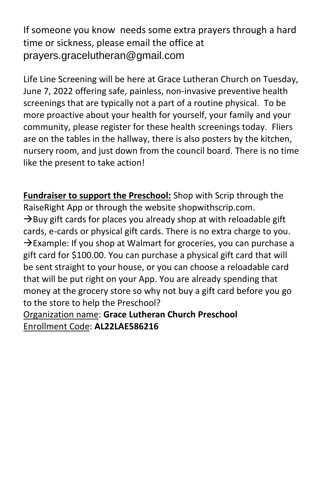If someone you know needs some extra prayers through a hard time or sickness, please email the office at prayers.gracelutheran@gmail.com

Life Line Screening will be here at Grace Lutheran Church on Tuesday, June 7, 2022 offering safe, painless, non-invasive preventive health screenings that are typically not a part of a routine physical. To be more proactive about your health for yourself, your family and your community, please register for these health screenings today. Fliers are on the tables in the hallway, there is also posters by the kitchen, nursery room, and just down from the council board. There is no time like the present to take action!

**Fundraiser to support the Preschool:** Shop with Scrip through the RaiseRight App or through the website shopwithscrip.com.  $\rightarrow$ Buy gift cards for places you already shop at with reloadable gift cards, e-cards or physical gift cards. There is no extra charge to you.  $\rightarrow$ Example: If you shop at Walmart for groceries, you can purchase a gift card for \$100.00. You can purchase a physical gift card that will be sent straight to your house, or you can choose a reloadable card that will be put right on your App. You are already spending that money at the grocery store so why not buy a gift card before you go to the store to help the Preschool?

Organization name: **Grace Lutheran Church Preschool** Enrollment Code: **AL22LAE586216**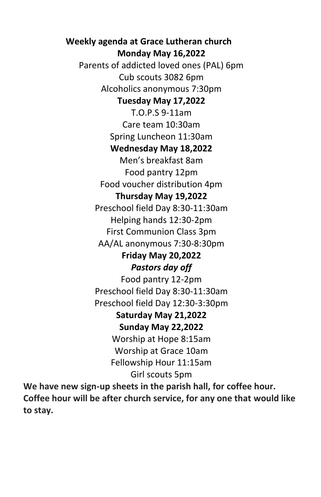**Weekly agenda at Grace Lutheran church Monday May 16,2022** Parents of addicted loved ones (PAL) 6pm Cub scouts 3082 6pm Alcoholics anonymous 7:30pm **Tuesday May 17,2022** T.O.P.S 9-11am Care team 10:30am Spring Luncheon 11:30am **Wednesday May 18,2022** Men's breakfast 8am Food pantry 12pm Food voucher distribution 4pm **Thursday May 19,2022** Preschool field Day 8:30-11:30am Helping hands 12:30-2pm First Communion Class 3pm AA/AL anonymous 7:30-8:30pm **Friday May 20,2022** *Pastors day off* Food pantry 12-2pm Preschool field Day 8:30-11:30am Preschool field Day 12:30-3:30pm **Saturday May 21,2022 Sunday May 22,2022** Worship at Hope 8:15am Worship at Grace 10am Fellowship Hour 11:15am Girl scouts 5pm

**We have new sign-up sheets in the parish hall, for coffee hour. Coffee hour will be after church service, for any one that would like to stay.**